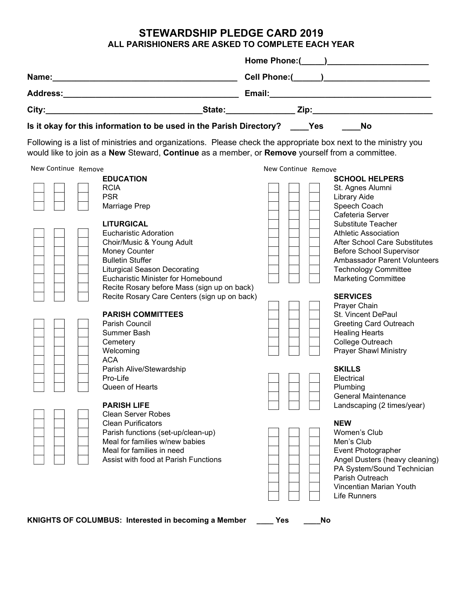## STEWARDSHIP PLEDGE CARD 2019 ALL PARISHIONERS ARE ASKED TO COMPLETE EACH YEAR

| Is it okay for this information to be used in the Parish Directory? ____Yes ____                                                                                                                                                                                          |            |                     | <b>No</b>                                                                                                                                                                                                                                                                                                                                |  |
|---------------------------------------------------------------------------------------------------------------------------------------------------------------------------------------------------------------------------------------------------------------------------|------------|---------------------|------------------------------------------------------------------------------------------------------------------------------------------------------------------------------------------------------------------------------------------------------------------------------------------------------------------------------------------|--|
| Following is a list of ministries and organizations. Please check the appropriate box next to the ministry you<br>would like to join as a New Steward, Continue as a member, or Remove yourself from a committee.                                                         |            |                     |                                                                                                                                                                                                                                                                                                                                          |  |
| New Continue Remove                                                                                                                                                                                                                                                       |            | New Continue Remove |                                                                                                                                                                                                                                                                                                                                          |  |
| <b>EDUCATION</b><br><b>RCIA</b><br><b>PSR</b><br>Marriage Prep<br><b>LITURGICAL</b><br><b>Eucharistic Adoration</b><br>Choir/Music & Young Adult<br>Money Counter<br><b>Bulletin Stuffer</b><br><b>Liturgical Season Decorating</b><br>Eucharistic Minister for Homebound |            |                     | <b>SCHOOL HELPERS</b><br>St. Agnes Alumni<br><b>Library Aide</b><br>Speech Coach<br>Cafeteria Server<br><b>Substitute Teacher</b><br><b>Athletic Association</b><br><b>After School Care Substitutes</b><br><b>Before School Supervisor</b><br>Ambassador Parent Volunteers<br><b>Technology Committee</b><br><b>Marketing Committee</b> |  |
| Recite Rosary before Mass (sign up on back)<br>Recite Rosary Care Centers (sign up on back)<br><b>PARISH COMMITTEES</b><br><b>Parish Council</b><br>Summer Bash<br>Cemetery<br>Welcoming<br><b>ACA</b>                                                                    |            |                     | <b>SERVICES</b><br>Prayer Chain<br>St. Vincent DePaul<br><b>Greeting Card Outreach</b><br><b>Healing Hearts</b><br>College Outreach<br><b>Prayer Shawl Ministry</b>                                                                                                                                                                      |  |
| Parish Alive/Stewardship<br>Pro-Life<br>Queen of Hearts<br><b>PARISH LIFE</b><br><b>Clean Server Robes</b>                                                                                                                                                                |            |                     | <b>SKILLS</b><br>Electrical<br>Plumbing<br><b>General Maintenance</b><br>Landscaping (2 times/year)                                                                                                                                                                                                                                      |  |
| <b>Clean Purificators</b><br>Parish functions (set-up/clean-up)<br>Meal for families w/new babies<br>Meal for families in need<br>Assist with food at Parish Functions                                                                                                    |            |                     | <b>NEW</b><br>Women's Club<br>Men's Club<br>Event Photographer<br>Angel Dusters (heavy cleaning)<br>PA System/Sound Technician<br>Parish Outreach<br>Vincentian Marian Youth<br>Life Runners                                                                                                                                             |  |
| KNIGHTS OF COLUMBUS: Interested in becoming a Member                                                                                                                                                                                                                      | <b>Yes</b> | No                  |                                                                                                                                                                                                                                                                                                                                          |  |